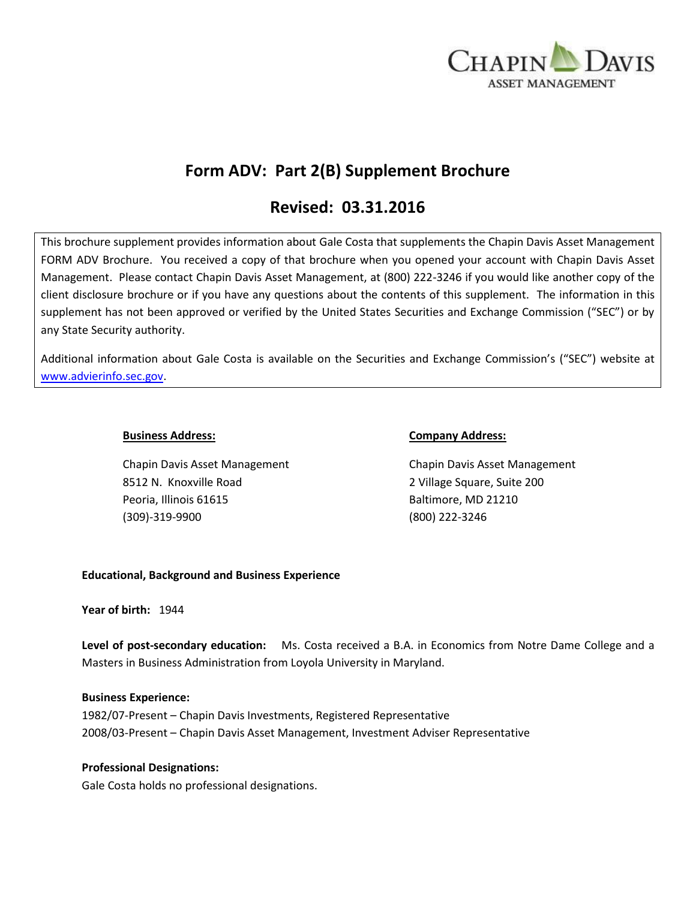

# **Form ADV: Part 2(B) Supplement Brochure**

# **Revised: 03.31.2016**

This brochure supplement provides information about Gale Costa that supplements the Chapin Davis Asset Management FORM ADV Brochure. You received a copy of that brochure when you opened your account with Chapin Davis Asset Management. Please contact Chapin Davis Asset Management, at (800) 222-3246 if you would like another copy of the client disclosure brochure or if you have any questions about the contents of this supplement. The information in this supplement has not been approved or verified by the United States Securities and Exchange Commission ("SEC") or by any State Security authority.

Additional information about Gale Costa is available on the Securities and Exchange Commission's ("SEC") website at [www.advierinfo.sec.gov.](http://www.advierinfo.sec.gov/)

Chapin Davis Asset Management Chapin Davis Asset Management 8512 N. Knoxville Road 2 Village Square, Suite 200 Peoria, Illinois 61615 Baltimore, MD 21210 (309)-319-9900 (800) 222-3246

#### **Business Address: Company Address:**

### **Educational, Background and Business Experience**

**Year of birth:** 1944

**Level of post-secondary education:** Ms. Costa received a B.A. in Economics from Notre Dame College and a Masters in Business Administration from Loyola University in Maryland.

#### **Business Experience:**

1982/07-Present – Chapin Davis Investments, Registered Representative 2008/03-Present – Chapin Davis Asset Management, Investment Adviser Representative

### **Professional Designations:**

Gale Costa holds no professional designations.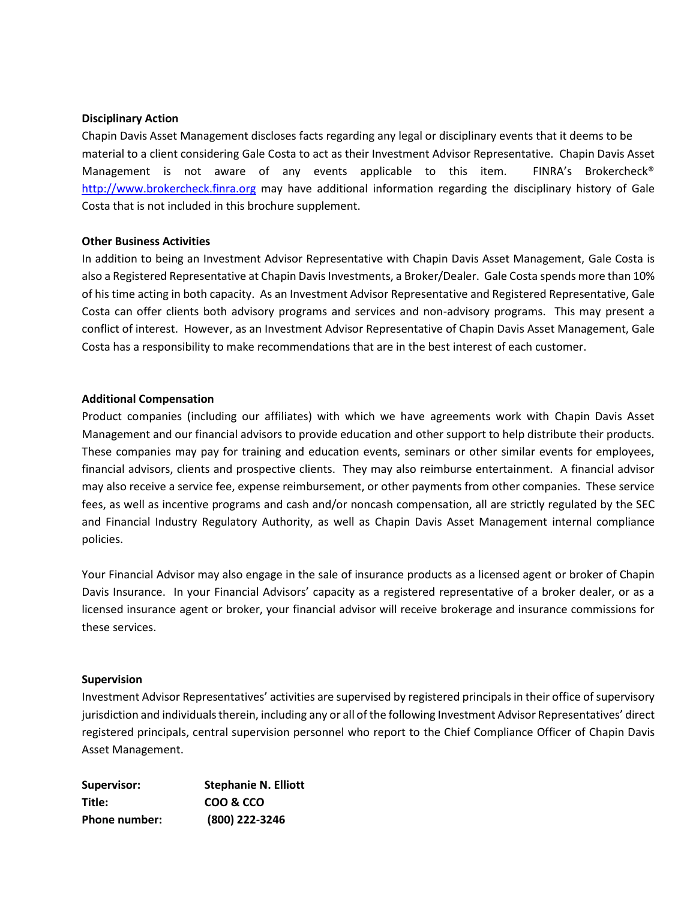#### **Disciplinary Action**

Chapin Davis Asset Management discloses facts regarding any legal or disciplinary events that it deems to be material to a client considering Gale Costa to act as their Investment Advisor Representative. Chapin Davis Asset Management is not aware of any events applicable to this item. FINRA's Brokercheck<sup>®</sup> [http://www.brokercheck.finra.org](http://www.brokercheck.finra.org/) may have additional information regarding the disciplinary history of Gale Costa that is not included in this brochure supplement.

#### **Other Business Activities**

In addition to being an Investment Advisor Representative with Chapin Davis Asset Management, Gale Costa is also a Registered Representative at Chapin Davis Investments, a Broker/Dealer. Gale Costa spends more than 10% of his time acting in both capacity. As an Investment Advisor Representative and Registered Representative, Gale Costa can offer clients both advisory programs and services and non-advisory programs. This may present a conflict of interest. However, as an Investment Advisor Representative of Chapin Davis Asset Management, Gale Costa has a responsibility to make recommendations that are in the best interest of each customer.

#### **Additional Compensation**

Product companies (including our affiliates) with which we have agreements work with Chapin Davis Asset Management and our financial advisors to provide education and other support to help distribute their products. These companies may pay for training and education events, seminars or other similar events for employees, financial advisors, clients and prospective clients. They may also reimburse entertainment. A financial advisor may also receive a service fee, expense reimbursement, or other payments from other companies. These service fees, as well as incentive programs and cash and/or noncash compensation, all are strictly regulated by the SEC and Financial Industry Regulatory Authority, as well as Chapin Davis Asset Management internal compliance policies.

Your Financial Advisor may also engage in the sale of insurance products as a licensed agent or broker of Chapin Davis Insurance. In your Financial Advisors' capacity as a registered representative of a broker dealer, or as a licensed insurance agent or broker, your financial advisor will receive brokerage and insurance commissions for these services.

#### **Supervision**

Investment Advisor Representatives' activities are supervised by registered principals in their office of supervisory jurisdiction and individuals therein, including any or all of the following Investment Advisor Representatives' direct registered principals, central supervision personnel who report to the Chief Compliance Officer of Chapin Davis Asset Management.

| Supervisor:          | <b>Stephanie N. Elliott</b> |
|----------------------|-----------------------------|
| Title:               | COO & CCO                   |
| <b>Phone number:</b> | (800) 222-3246              |